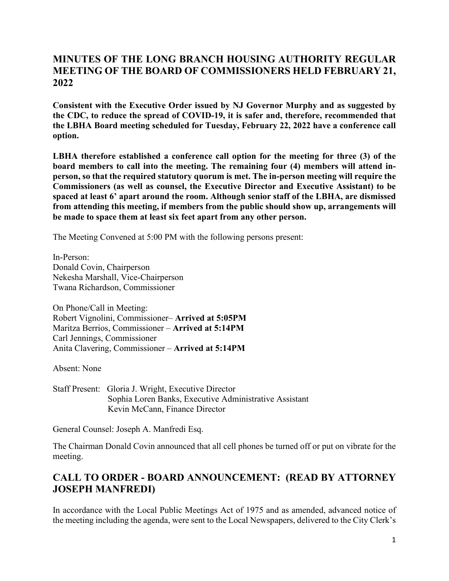## **MINUTES OF THE LONG BRANCH HOUSING AUTHORITY REGULAR MEETING OF THE BOARD OF COMMISSIONERS HELD FEBRUARY 21, 2022**

**Consistent with the Executive Order issued by NJ Governor Murphy and as suggested by the CDC, to reduce the spread of COVID-19, it is safer and, therefore, recommended that the LBHA Board meeting scheduled for Tuesday, February 22, 2022 have a conference call option.**

**LBHA therefore established a conference call option for the meeting for three (3) of the board members to call into the meeting. The remaining four (4) members will attend inperson, so that the required statutory quorum is met. The in-person meeting will require the Commissioners (as well as counsel, the Executive Director and Executive Assistant) to be spaced at least 6' apart around the room. Although senior staff of the LBHA, are dismissed from attending this meeting, if members from the public should show up, arrangements will be made to space them at least six feet apart from any other person.**

The Meeting Convened at 5:00 PM with the following persons present:

In-Person: Donald Covin, Chairperson Nekesha Marshall, Vice-Chairperson Twana Richardson, Commissioner

On Phone/Call in Meeting: Robert Vignolini, Commissioner– **Arrived at 5:05PM** Maritza Berrios, Commissioner – **Arrived at 5:14PM** Carl Jennings, Commissioner Anita Clavering, Commissioner – **Arrived at 5:14PM**

Absent: None

Staff Present: Gloria J. Wright, Executive Director Sophia Loren Banks, Executive Administrative Assistant Kevin McCann, Finance Director

General Counsel: Joseph A. Manfredi Esq.

The Chairman Donald Covin announced that all cell phones be turned off or put on vibrate for the meeting.

# **CALL TO ORDER - BOARD ANNOUNCEMENT: (READ BY ATTORNEY JOSEPH MANFREDI)**

In accordance with the Local Public Meetings Act of 1975 and as amended, advanced notice of the meeting including the agenda, were sent to the Local Newspapers, delivered to the City Clerk's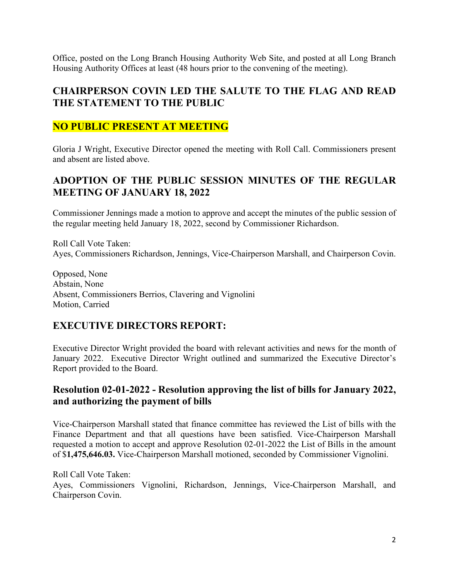Office, posted on the Long Branch Housing Authority Web Site, and posted at all Long Branch Housing Authority Offices at least (48 hours prior to the convening of the meeting).

#### **CHAIRPERSON COVIN LED THE SALUTE TO THE FLAG AND READ THE STATEMENT TO THE PUBLIC**

## **NO PUBLIC PRESENT AT MEETING**

Gloria J Wright, Executive Director opened the meeting with Roll Call. Commissioners present and absent are listed above.

## **ADOPTION OF THE PUBLIC SESSION MINUTES OF THE REGULAR MEETING OF JANUARY 18, 2022**

Commissioner Jennings made a motion to approve and accept the minutes of the public session of the regular meeting held January 18, 2022, second by Commissioner Richardson.

Roll Call Vote Taken: Ayes, Commissioners Richardson, Jennings, Vice-Chairperson Marshall, and Chairperson Covin.

Opposed, None Abstain, None Absent, Commissioners Berrios, Clavering and Vignolini Motion, Carried

#### **EXECUTIVE DIRECTORS REPORT:**

Executive Director Wright provided the board with relevant activities and news for the month of January 2022. Executive Director Wright outlined and summarized the Executive Director's Report provided to the Board.

#### **Resolution 02-01-2022 - Resolution approving the list of bills for January 2022, and authorizing the payment of bills**

Vice-Chairperson Marshall stated that finance committee has reviewed the List of bills with the Finance Department and that all questions have been satisfied. Vice-Chairperson Marshall requested a motion to accept and approve Resolution 02-01-2022 the List of Bills in the amount of \$**1,475,646.03.** Vice-Chairperson Marshall motioned, seconded by Commissioner Vignolini.

Roll Call Vote Taken: Ayes, Commissioners Vignolini, Richardson, Jennings, Vice-Chairperson Marshall, and Chairperson Covin.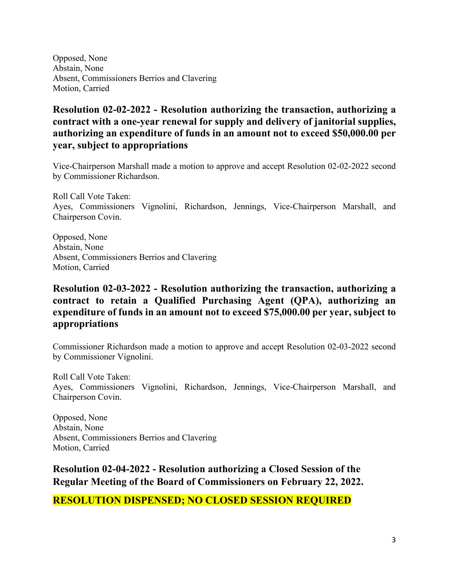Opposed, None Abstain, None Absent, Commissioners Berrios and Clavering Motion, Carried

### **Resolution 02-02-2022 - Resolution authorizing the transaction, authorizing a contract with a one-year renewal for supply and delivery of janitorial supplies, authorizing an expenditure of funds in an amount not to exceed \$50,000.00 per year, subject to appropriations**

Vice-Chairperson Marshall made a motion to approve and accept Resolution 02-02-2022 second by Commissioner Richardson.

Roll Call Vote Taken: Ayes, Commissioners Vignolini, Richardson, Jennings, Vice-Chairperson Marshall, and Chairperson Covin.

Opposed, None Abstain, None Absent, Commissioners Berrios and Clavering Motion, Carried

## **Resolution 02-03-2022 - Resolution authorizing the transaction, authorizing a contract to retain a Qualified Purchasing Agent (QPA), authorizing an expenditure of funds in an amount not to exceed \$75,000.00 per year, subject to appropriations**

Commissioner Richardson made a motion to approve and accept Resolution 02-03-2022 second by Commissioner Vignolini.

Roll Call Vote Taken: Ayes, Commissioners Vignolini, Richardson, Jennings, Vice-Chairperson Marshall, and Chairperson Covin.

Opposed, None Abstain, None Absent, Commissioners Berrios and Clavering Motion, Carried

**Resolution 02-04-2022 - Resolution authorizing a Closed Session of the Regular Meeting of the Board of Commissioners on February 22, 2022.**

**RESOLUTION DISPENSED; NO CLOSED SESSION REQUIRED**